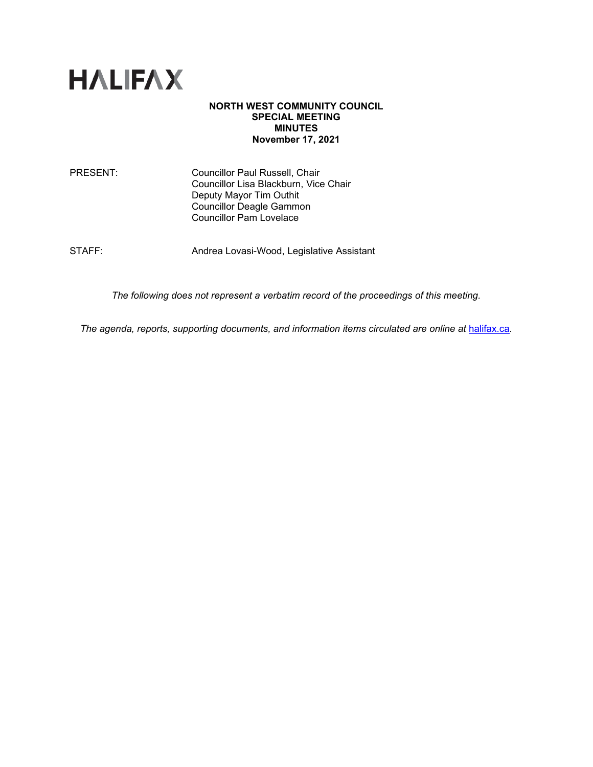

### **NORTH WEST COMMUNITY COUNCIL SPECIAL MEETING MINUTES November 17, 2021**

PRESENT: Councillor Paul Russell, Chair Councillor Lisa Blackburn, Vice Chair Deputy Mayor Tim Outhit Councillor Deagle Gammon Councillor Pam Lovelace

STAFF: Andrea Lovasi-Wood, Legislative Assistant

*The following does not represent a verbatim record of the proceedings of this meeting.*

The agenda, reports, supporting documents, and information items circulated are online at [halifax.ca](http://www.halifax.ca/).